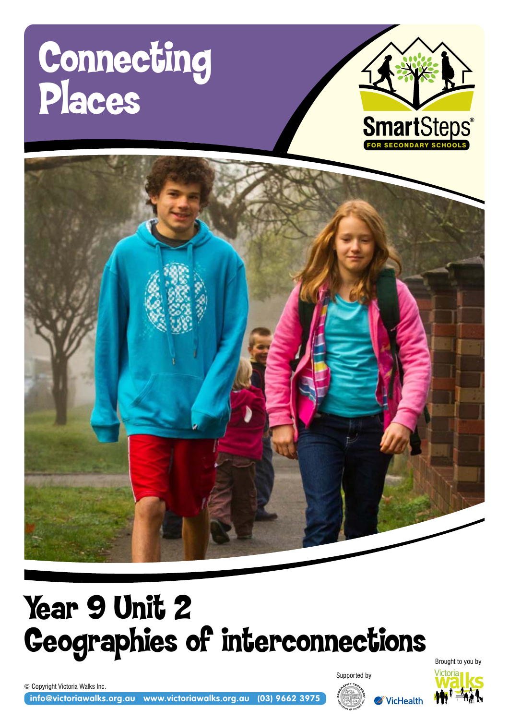# Connecting Places





# Year 9 Unit 2 Geographies of interconnections

© Copyright Victoria Walks Inc.

**info@victoriawalks.org.au www.victoriawalks.org.au (03) 9662 3975**



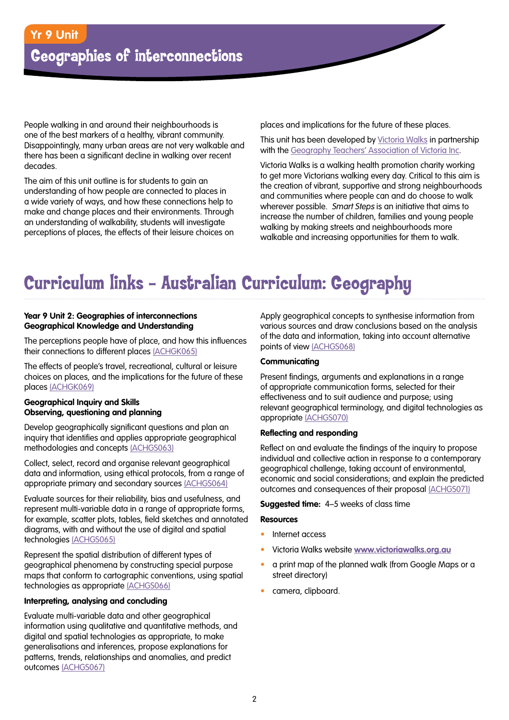People walking in and around their neighbourhoods is one of the best markers of a healthy, vibrant community. Disappointingly, many urban areas are not very walkable and there has been a significant decline in walking over recent decades.

The aim of this unit outline is for students to gain an understanding of how people are connected to places in a wide variety of ways, and how these connections help to make and change places and their environments. Through an understanding of walkability, students will investigate perceptions of places, the effects of their leisure choices on

places and implications for the future of these places.

This unit has been developed by [Victoria Walks](http://www.victoriawalks.org.au/) in partnership with the [Geography Teachers' Association of Victoria Inc](http://www.gtav.asn.au/).

Victoria Walks is a walking health promotion charity working to get more Victorians walking every day. Critical to this aim is the creation of vibrant, supportive and strong neighbourhoods and communities where people can and do choose to walk wherever possible. Smart Steps is an initiative that aims to increase the number of children, families and young people walking by making streets and neighbourhoods more walkable and increasing opportunities for them to walk.

# Curriculum links – Australian Curriculum: Geography

#### **Year 9 Unit 2: Geographies of interconnections Geographical Knowledge and Understanding**

The perceptions people have of place, and how this influences their connections to different places [\(ACHGK065\)](http://www.australiancurriculum.edu.au/Geography/Curriculum/F-10#cdcode=ACHGS053&level=9)

The effects of people's travel, recreational, cultural or leisure choices on places, and the implications for the future of these places [\(ACHGK069\)](http://www.australiancurriculum.edu.au/Geography/Curriculum/F-10#cdcode=ACHGS053&level=9)

#### **Geographical Inquiry and Skills Observing, questioning and planning**

Develop geographically significant questions and plan an inquiry that identifies and applies appropriate geographical methodologies and concepts [\(ACHGS063\)](http://www.australiancurriculum.edu.au/Geography/Curriculum/F-10#cdcode=ACHGS053&level=9)

Collect, select, record and organise relevant geographical data and information, using ethical protocols, from a range of appropriate primary and secondary sources [\(ACHGS064\)](http://www.australiancurriculum.edu.au/Geography/Curriculum/F-10#cdcode=ACHGS053&level=9)

Evaluate sources for their reliability, bias and usefulness, and represent multi-variable data in a range of appropriate forms, for example, scatter plots, tables, field sketches and annotated diagrams, with and without the use of digital and spatial technologies [\(ACHGS065\)](http://www.australiancurriculum.edu.au/Curriculum/ContentDescription/ACHGS049)

Represent the spatial distribution of different types of geographical phenomena by constructing special purpose maps that conform to cartographic conventions, using spatial technologies as appropriate [\(ACHGS066\)](http://www.australiancurriculum.edu.au/Curriculum/ContentDescription/ACHGS050)

#### **Interpreting, analysing and concluding**

Evaluate multi-variable data and other geographical information using qualitative and quantitative methods, and digital and spatial technologies as appropriate, to make generalisations and inferences, propose explanations for patterns, trends, relationships and anomalies, and predict outcomes [\(ACHGS067\)](http://www.australiancurriculum.edu.au/Curriculum/ContentDescription/ACHGS051)

Apply geographical concepts to synthesise information from various sources and draw conclusions based on the analysis of the data and information, taking into account alternative points of view [\(ACHGS068\)](http://www.australiancurriculum.edu.au/Curriculum/ContentDescription/ACHGS052)

#### **Communicating**

Present findings, arguments and explanations in a range of appropriate communication forms, selected for their effectiveness and to suit audience and purpose; using relevant geographical terminology, and digital technologies as appropriate [\(ACHGS070\)](http://www.australiancurriculum.edu.au/Curriculum/ContentDescription/ACHGS053)

#### **Reflecting and responding**

Reflect on and evaluate the findings of the inquiry to propose individual and collective action in response to a contemporary geographical challenge, taking account of environmental, economic and social considerations; and explain the predicted outcomes and consequences of their proposal [\(ACHGS071\)](http://www.australiancurriculum.edu.au/Curriculum/ContentDescription/ACHGS054)

#### **Suggested time:** 4–5 weeks of class time

#### **Resources**

- Internet access
- • Victoria Walks website **[www.victoriawalks.org.au](http://www.victoriawalks.org.au)**
- a print map of the planned walk (from Google Maps or a street directory)
- • camera, clipboard.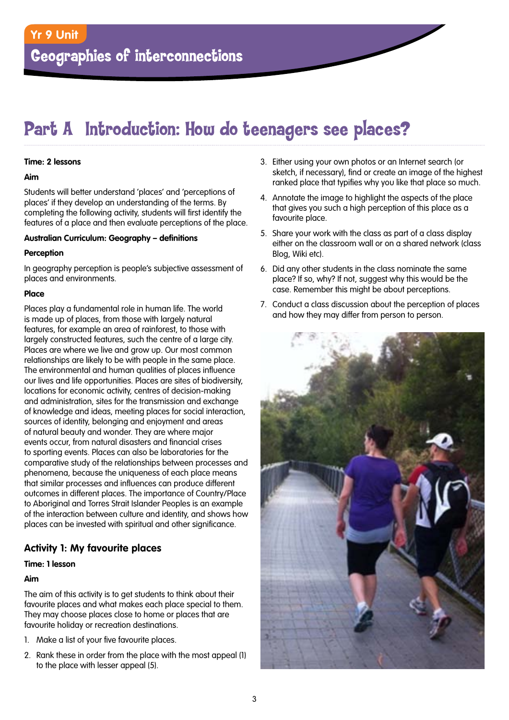## Part A Introduction: How do teenagers see places?

#### **Time: 2 lessons**

#### **Aim**

Students will better understand 'places' and 'perceptions of places' if they develop an understanding of the terms. By completing the following activity, students will first identify the features of a place and then evaluate perceptions of the place.

#### **Australian Curriculum: Geography – definitions**

#### **Perception**

In geography perception is people's subjective assessment of places and environments.

#### **Place**

Places play a fundamental role in human life. The world is made up of places, from those with largely natural features, for example an area of rainforest, to those with largely constructed features, such the centre of a large city. Places are where we live and grow up. Our most common relationships are likely to be with people in the same place. The environmental and human qualities of places influence our lives and life opportunities. Places are sites of biodiversity, locations for economic activity, centres of decision-making and administration, sites for the transmission and exchange of knowledge and ideas, meeting places for social interaction, sources of identity, belonging and enjoyment and areas of natural beauty and wonder. They are where major events occur, from natural disasters and financial crises to sporting events. Places can also be laboratories for the comparative study of the relationships between processes and phenomena, because the uniqueness of each place means that similar processes and influences can produce different outcomes in different places. The importance of Country/Place to Aboriginal and Torres Strait Islander Peoples is an example of the interaction between culture and identity, and shows how places can be invested with spiritual and other significance.

#### **Activity 1: My favourite places**

#### **Time: 1 lesson**

#### **Aim**

The aim of this activity is to get students to think about their favourite places and what makes each place special to them. They may choose places close to home or places that are favourite holiday or recreation destinations.

- 1. Make a list of your five favourite places.
- 2. Rank these in order from the place with the most appeal (1) to the place with lesser appeal (5).
- 3. Either using your own photos or an Internet search (or sketch, if necessary), find or create an image of the highest ranked place that typifies why you like that place so much.
- 4. Annotate the image to highlight the aspects of the place that gives you such a high perception of this place as a favourite place.
- 5. Share your work with the class as part of a class display either on the classroom wall or on a shared network (class Blog, Wiki etc).
- 6. Did any other students in the class nominate the same place? If so, why? If not, suggest why this would be the case. Remember this might be about perceptions.
- 7. Conduct a class discussion about the perception of places and how they may differ from person to person.

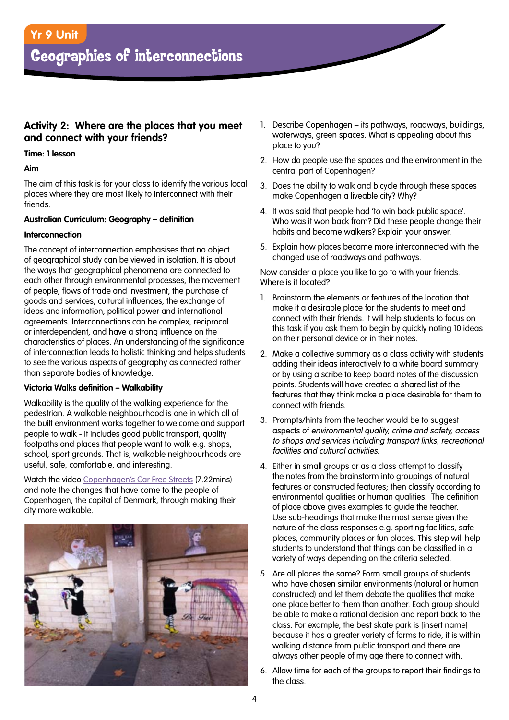#### **Activity 2: Where are the places that you meet and connect with your friends?**

#### **Time: 1 lesson**

#### **Aim**

The aim of this task is for your class to identify the various local places where they are most likely to interconnect with their friends.

#### **Australian Curriculum: Geography – definition**

#### **Interconnection**

The concept of interconnection emphasises that no object of geographical study can be viewed in isolation. It is about the ways that geographical phenomena are connected to each other through environmental processes, the movement of people, flows of trade and investment, the purchase of goods and services, cultural influences, the exchange of ideas and information, political power and international agreements. Interconnections can be complex, reciprocal or interdependent, and have a strong influence on the characteristics of places. An understanding of the significance of interconnection leads to holistic thinking and helps students to see the various aspects of geography as connected rather than separate bodies of knowledge.

#### **Victoria Walks definition – Walkability**

Walkability is the quality of the walking experience for the pedestrian. A walkable neighbourhood is one in which all of the built environment works together to welcome and support people to walk - it includes good public transport, quality footpaths and places that people want to walk e.g. shops, school, sport grounds. That is, walkable neighbourhoods are useful, safe, comfortable, and interesting.

Watch the video [Copenhagen's Car Free Streets](http://www.streetfilms.org/copenhagens-car-free-streets-and-slow-speed-zones/) (7.22mins) and note the changes that have come to the people of Copenhagen, the capital of Denmark, through making their city more walkable.



- 1. Describe Copenhagen its pathways, roadways, buildings, waterways, green spaces. What is appealing about this place to you?
- 2. How do people use the spaces and the environment in the central part of Copenhagen?
- 3. Does the ability to walk and bicycle through these spaces make Copenhagen a liveable city? Why?
- 4. It was said that people had 'to win back public space'. Who was it won back from? Did these people change their habits and become walkers? Explain your answer.
- 5. Explain how places became more interconnected with the changed use of roadways and pathways.

Now consider a place you like to go to with your friends. Where is it located?

- 1. Brainstorm the elements or features of the location that make it a desirable place for the students to meet and connect with their friends. It will help students to focus on this task if you ask them to begin by quickly noting 10 ideas on their personal device or in their notes.
- 2. Make a collective summary as a class activity with students adding their ideas interactively to a white board summary or by using a scribe to keep board notes of the discussion points. Students will have created a shared list of the features that they think make a place desirable for them to connect with friends.
- 3. Prompts/hints from the teacher would be to suggest aspects of environmental quality, crime and safety, access to shops and services including transport links, recreational facilities and cultural activities.
- 4. Either in small groups or as a class attempt to classify the notes from the brainstorm into groupings of natural features or constructed features; then classify according to environmental qualities or human qualities. The definition of place above gives examples to guide the teacher. Use sub-headings that make the most sense given the nature of the class responses e.g. sporting facilities, safe places, community places or fun places. This step will help students to understand that things can be classified in a variety of ways depending on the criteria selected.
- 5. Are all places the same? Form small groups of students who have chosen similar environments (natural or human constructed) and let them debate the qualities that make one place better to them than another. Each group should be able to make a rational decision and report back to the class. For example, the best skate park is [insert name] because it has a greater variety of forms to ride, it is within walking distance from public transport and there are always other people of my age there to connect with.
- 6. Allow time for each of the groups to report their findings to the class.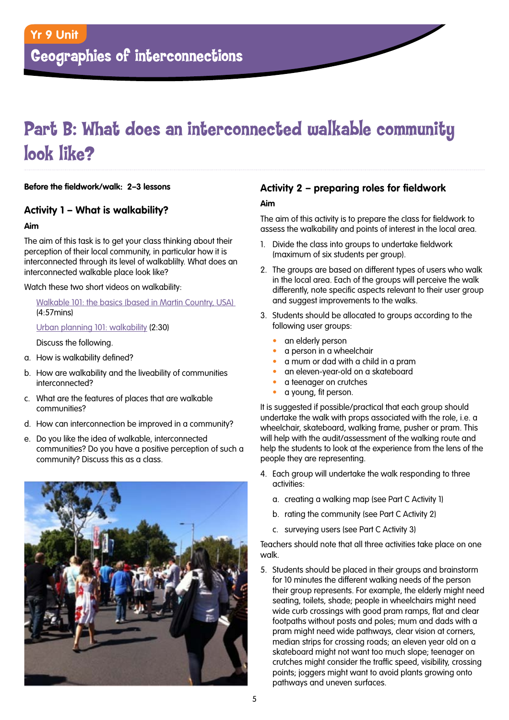# Part B: What does an interconnected walkable community look like?

**Before the fieldwork/walk: 2–3 lessons**

#### **Activity 1 – What is walkability?**

#### **Aim**

The aim of this task is to get your class thinking about their perception of their local community, in particular how it is interconnected through its level of walkablilty. What does an interconnected walkable place look like?

Watch these two short videos on walkability:

[Walkable 101: the basics \(based in Martin Country, USA\)](http://www.victoriawalks.org.au/How_to_assess_walkability/)  (4:57mins)

[Urban planning 101: walkability](http://www.youtube.com/watch?v=ifKOB-d3uds&feature=youtu.be) (2:30)

Discuss the following.

- a. How is walkability defined?
- b. How are walkability and the liveability of communities interconnected?
- c. What are the features of places that are walkable communities?
- d. How can interconnection be improved in a community?
- e. Do you like the idea of walkable, interconnected communities? Do you have a positive perception of such a community? Discuss this as a class.



#### **Activity 2 – preparing roles for fieldwork**

#### **Aim**

The aim of this activity is to prepare the class for fieldwork to assess the walkability and points of interest in the local area.

- 1. Divide the class into groups to undertake fieldwork (maximum of six students per group).
- 2. The groups are based on different types of users who walk in the local area. Each of the groups will perceive the walk differently, note specific aspects relevant to their user group and suggest improvements to the walks.
- 3. Students should be allocated to groups according to the following user groups:
	- an elderly person
	- a person in a wheelchair
	- a mum or dad with a child in a pram
	- an eleven-year-old on a skateboard
	- a teenager on crutches
	- a young, fit person.

It is suggested if possible/practical that each group should undertake the walk with props associated with the role, i.e. a wheelchair, skateboard, walking frame, pusher or pram. This will help with the audit/assessment of the walking route and help the students to look at the experience from the lens of the people they are representing.

- 4. Each group will undertake the walk responding to three activities:
	- a. creating a walking map (see Part C Activity 1)
	- b. rating the community (see Part C Activity 2)
	- c. surveying users (see Part C Activity 3)

Teachers should note that all three activities take place on one walk.

5. Students should be placed in their groups and brainstorm for 10 minutes the different walking needs of the person their group represents. For example, the elderly might need seating, toilets, shade; people in wheelchairs might need wide curb crossings with good pram ramps, flat and clear footpaths without posts and poles; mum and dads with a pram might need wide pathways, clear vision at corners, median strips for crossing roads; an eleven year old on a skateboard might not want too much slope; teenager on crutches might consider the traffic speed, visibility, crossing points; joggers might want to avoid plants growing onto pathways and uneven surfaces.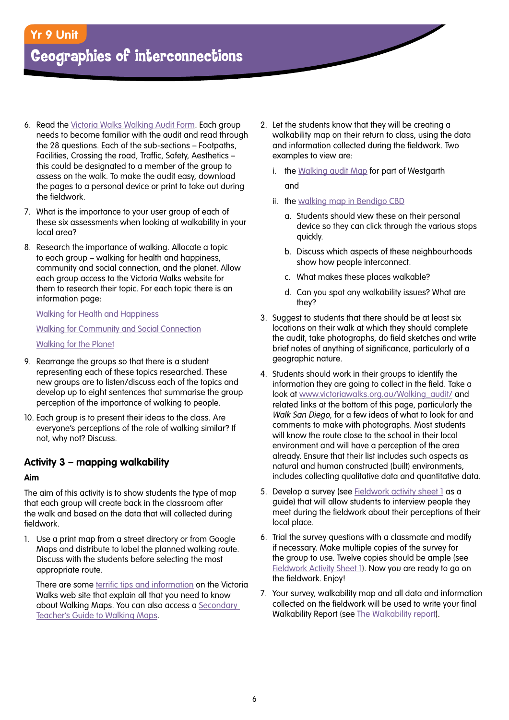### **Yr 9 Unit**

### Geographies of interconnections

- 6. Read the [Victoria Walks Walking Audit Form](http://www.victoriawalks.org.au/Walking_audit/). Each group needs to become familiar with the audit and read through the 28 questions. Each of the sub-sections – Footpaths, Facilities, Crossing the road, Traffic, Safety, Aesthetics – this could be designated to a member of the group to assess on the walk. To make the audit easy, download the pages to a personal device or print to take out during the fieldwork.
- 7. What is the importance to your user group of each of these six assessments when looking at walkability in your local area?
- 8. Research the importance of walking. Allocate a topic to each group – walking for health and happiness, community and social connection, and the planet. Allow each group access to the Victoria Walks website for them to research their topic. For each topic there is an information page:

[Walking for Health and Happiness](http://www.victoriawalks.org.au/Walking_for_health/) [Walking for Community and Social Connection](http://www.victoriawalks.org.au/walking_for_social_connection/) [Walking for the Planet](http://www.victoriawalks.org.au/Walking_for_Planet/)

- 9. Rearrange the groups so that there is a student representing each of these topics researched. These new groups are to listen/discuss each of the topics and develop up to eight sentences that summarise the group perception of the importance of walking to people.
- 10. Each group is to present their ideas to the class. Are everyone's perceptions of the role of walking similar? If not, why not? Discuss.

#### **Activity 3 – mapping walkability**

#### **Aim**

The aim of this activity is to show students the type of map that each group will create back in the classroom after the walk and based on the data that will collected during fieldwork.

1. Use a print map from a street directory or from Google Maps and distribute to label the planned walking route. Discuss with the students before selecting the most appropriate route.

There are some [terrific tips and information](http://www.victoriawalks.org.au/WalkingMaps/) on the Victoria Walks web site that explain all that you need to know about Walking Maps. You can also access a Secondary [Teacher's Guide to Walking Maps](http://www.victoriawalks.org.au/Assets/Files/6287%20VWI%20Secondary%20Teachers%20Guide%20to%20Walking%20Maps%20LORES.pdf).

- 2. Let the students know that they will be creating a walkability map on their return to class, using the data and information collected during the fieldwork. Two examples to view are:
	- i. [the Walking audit Map for part of Westgarth](http://walkingmaps.com.au/IndividualWalkAction.action?walkId=574#vic) and
	- ii. [the walking map in Bendigo CBD](http://walkingmaps.com.au/IndividualWalkAction.action?walkId=577)
		- a. Students should view these on their personal device so they can click through the various stops quickly.
		- b. Discuss which aspects of these neighbourhoods show how people interconnect.
		- c. What makes these places walkable?
		- d. Can you spot any walkability issues? What are they?
- 3. Suggest to students that there should be at least six locations on their walk at which they should complete the audit, take photographs, do field sketches and write brief notes of anything of significance, particularly of a geographic nature.
- 4. Students should work in their groups to identify the information they are going to collect in the field. Take a look at [www.victoriawalks.org.au/Walking\\_audit/](http://www.victoriawalks.org.au/Walking_audit/) and related links at the bottom of this page, particularly the Walk San Diego, for a few ideas of what to look for and comments to make with photographs. Most students will know the route close to the school in their local environment and will have a perception of the area already. Ensure that their list includes such aspects as natural and human constructed (built) environments, includes collecting qualitative data and quantitative data.
- 5. Develop a survey (see [Fieldwork activity sheet 1](#page-8-0) as a guide) that will allow students to interview people they meet during the fieldwork about their perceptions of their local place.
- 6. Trial the survey questions with a classmate and modify if necessary. Make multiple copies of the survey for the group to use. Twelve copies should be ample (see [Fieldwork Activity Sheet 1\)](#page-8-0). Now you are ready to go on the fieldwork. Enjoy!
- 7. Your survey, walkability map and all data and information collected on the fieldwork will be used to write your final Walkability Report (see [The Walkability report\)](#page-10-0).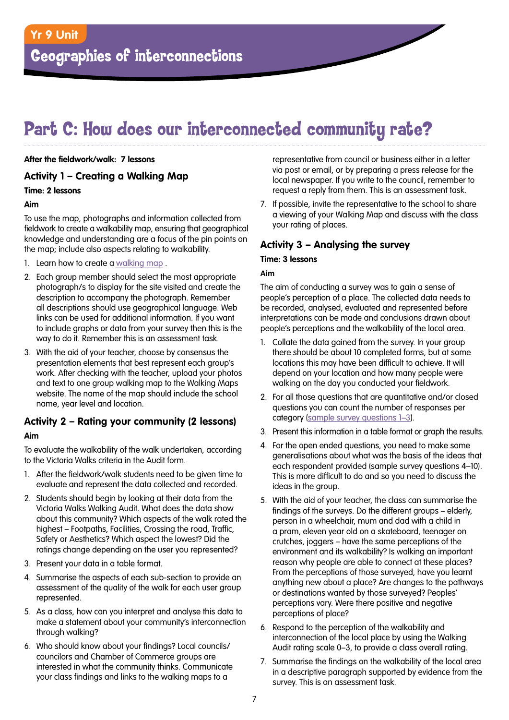### Part C: How does our interconnected community rate?

#### **After the fieldwork/walk: 7 lessons**

#### **Activity 1 – Creating a Walking Map**

#### **Time: 2 lessons**

#### **Aim**

To use the map, photographs and information collected from fieldwork to create a walkability map, ensuring that geographical knowledge and understanding are a focus of the pin points on the map; include also aspects relating to walkability.

- 1. Learn how to create a walking map.
- 2. Each group member should select the most appropriate photograph/s to display for the site visited and create the description to accompany the photograph. Remember all descriptions should use geographical language. Web links can be used for additional information. If you want to include graphs or data from your survey then this is the way to do it. Remember this is an assessment task.
- 3. With the aid of your teacher, choose by consensus the presentation elements that best represent each group's work. After checking with the teacher, upload your photos and text to one group walking map to the Walking Maps website. The name of the map should include the school name, year level and location.

### **Activity 2 – Rating your community (2 lessons)**

#### **Aim**

To evaluate the walkability of the walk undertaken, according to the Victoria Walks criteria in the Audit form.

- 1. After the fieldwork/walk students need to be given time to evaluate and represent the data collected and recorded.
- 2. Students should begin by looking at their data from the Victoria Walks Walking Audit. What does the data show about this community? Which aspects of the walk rated the highest – Footpaths, Facilities, Crossing the road, Traffic, Safety or Aesthetics? Which aspect the lowest? Did the ratings change depending on the user you represented?
- 3. Present your data in a table format.
- 4. Summarise the aspects of each sub-section to provide an assessment of the quality of the walk for each user group represented.
- 5. As a class, how can you interpret and analyse this data to make a statement about your community's interconnection through walking?
- 6. Who should know about your findings? Local councils/ councilors and Chamber of Commerce groups are interested in what the community thinks. Communicate your class findings and links to the walking maps to a

representative from council or business either in a letter via post or email, or by preparing a press release for the local newspaper. If you write to the council, remember to request a reply from them. This is an assessment task.

7. If possible, invite the representative to the school to share a viewing of your Walking Map and discuss with the class your rating of places.

#### **Activity 3 – Analysing the survey**

#### **Time: 3 lessons**

#### **Aim**

The aim of conducting a survey was to gain a sense of people's perception of a place. The collected data needs to be recorded, analysed, evaluated and represented before interpretations can be made and conclusions drawn about people's perceptions and the walkability of the local area.

- 1. Collate the data gained from the survey. In your group there should be about 10 completed forms, but at some locations this may have been difficult to achieve. It will depend on your location and how many people were walking on the day you conducted your fieldwork.
- 2. For all those questions that are quantitative and/or closed questions you can count the number of responses per category [\(sample survey questions 1–3](#page-9-0)).
- 3. Present this information in a table format or graph the results.
- 4. For the open ended questions, you need to make some generalisations about what was the basis of the ideas that each respondent provided (sample survey questions 4–10). This is more difficult to do and so you need to discuss the ideas in the group.
- 5. With the aid of your teacher, the class can summarise the findings of the surveys. Do the different groups – elderly, person in a wheelchair, mum and dad with a child in a pram, eleven year old on a skateboard, teenager on crutches, joggers – have the same perceptions of the environment and its walkability? Is walking an important reason why people are able to connect at these places? From the perceptions of those surveyed, have you learnt anything new about a place? Are changes to the pathways or destinations wanted by those surveyed? Peoples' perceptions vary. Were there positive and negative perceptions of place?
- 6. Respond to the perception of the walkability and interconnection of the local place by using the Walking Audit rating scale 0–3, to provide a class overall rating.
- 7. Summarise the findings on the walkability of the local area in a descriptive paragraph supported by evidence from the survey. This is an assessment task.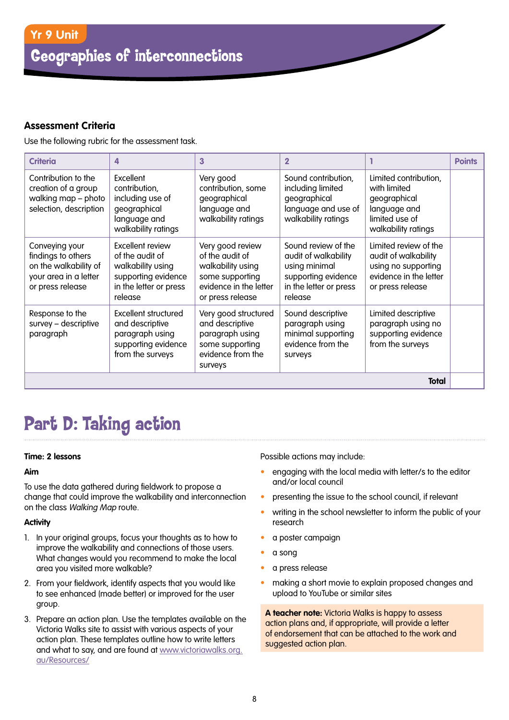#### **Assessment Criteria**

Use the following rubric for the assessment task.

| <b>Criteria</b>                                                                                            | $\overline{\mathbf{A}}$                                                                                              | 3                                                                                                                         | $\overline{2}$                                                                                                           |                                                                                                                    | <b>Points</b> |  |  |  |
|------------------------------------------------------------------------------------------------------------|----------------------------------------------------------------------------------------------------------------------|---------------------------------------------------------------------------------------------------------------------------|--------------------------------------------------------------------------------------------------------------------------|--------------------------------------------------------------------------------------------------------------------|---------------|--|--|--|
| Contribution to the<br>creation of a group<br>walking map - photo<br>selection, description                | Excellent<br>contribution,<br>including use of<br>geographical<br>language and<br>walkability ratings                | Very good<br>contribution, some<br>geographical<br>language and<br>walkability ratings                                    | Sound contribution,<br>including limited<br>geographical<br>language and use of<br>walkability ratings                   | Limited contribution,<br>with limited<br>geographical<br>language and<br>limited use of<br>walkability ratings     |               |  |  |  |
| Conveying your<br>findings to others<br>on the walkability of<br>your area in a letter<br>or press release | Excellent review<br>of the audit of<br>walkability using<br>supporting evidence<br>in the letter or press<br>release | Very good review<br>of the audit of<br>walkability using<br>some supporting<br>evidence in the letter<br>or press release | Sound review of the<br>audit of walkability<br>using minimal<br>supporting evidence<br>in the letter or press<br>release | Limited review of the<br>audit of walkability<br>using no supporting<br>evidence in the letter<br>or press release |               |  |  |  |
| Response to the<br>survey - descriptive<br>paragraph                                                       | <b>Excellent structured</b><br>and descriptive<br>paragraph using<br>supporting evidence<br>from the surveys         | Very good structured<br>and descriptive<br>paragraph using<br>some supporting<br>evidence from the<br>surveys             | Sound descriptive<br>paragraph using<br>minimal supporting<br>evidence from the<br>surveys                               | Limited descriptive<br>paragraph using no<br>supporting evidence<br>from the surveys                               |               |  |  |  |
| <b>Total</b>                                                                                               |                                                                                                                      |                                                                                                                           |                                                                                                                          |                                                                                                                    |               |  |  |  |

# Part D: Taking action

#### **Time: 2 lessons**

#### **Aim**

To use the data gathered during fieldwork to propose a change that could improve the walkability and interconnection on the class Walking Map route.

#### **Activity**

- 1. In your original groups, focus your thoughts as to how to improve the walkability and connections of those users. What changes would you recommend to make the local area you visited more walkable?
- 2. From your fieldwork, identify aspects that you would like to see enhanced (made better) or improved for the user group.
- 3. Prepare an action plan. Use the templates available on the Victoria Walks site to assist with various aspects of your action plan. These templates outline how to write letters and what to say, and are found at [www.victoriawalks.org.](http://www.victoriawalks.org.au/Resources/) [au/Resources/](http://www.victoriawalks.org.au/Resources/)

Possible actions may include:

- engaging with the local media with letter/s to the editor and/or local council
- presenting the issue to the school council, if relevant
- writing in the school newsletter to inform the public of your research
- a poster campaign
- a song
- a press release
- making a short movie to explain proposed changes and upload to YouTube or similar sites

**A teacher note:** Victoria Walks is happy to assess action plans and, if appropriate, will provide a letter of endorsement that can be attached to the work and suggested action plan.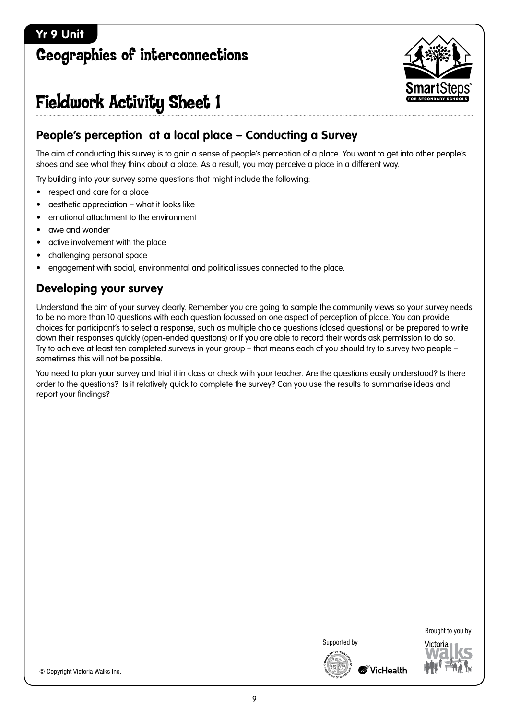### <span id="page-8-0"></span>**Yr 9 Unit**

# Geographies of interconnections



# Fieldwork Activity Sheet 1

### **People's perception at a local place – Conducting a Survey**

The aim of conducting this survey is to gain a sense of people's perception of a place. You want to get into other people's shoes and see what they think about a place. As a result, you may perceive a place in a different way.

Try building into your survey some questions that might include the following:

- respect and care for a place
- aesthetic appreciation what it looks like
- • emotional attachment to the environment
- awe and wonder
- active involvement with the place
- challenging personal space
- engagement with social, environmental and political issues connected to the place.

### **Developing your survey**

Understand the aim of your survey clearly. Remember you are going to sample the community views so your survey needs to be no more than 10 questions with each question focussed on one aspect of perception of place. You can provide choices for participant's to select a response, such as multiple choice questions (closed questions) or be prepared to write down their responses quickly (open-ended questions) or if you are able to record their words ask permission to do so. Try to achieve at least ten completed surveys in your group – that means each of you should try to survey two people – sometimes this will not be possible.

You need to plan your survey and trial it in class or check with your teacher. Are the questions easily understood? Is there order to the questions? Is it relatively quick to complete the survey? Can you use the results to summarise ideas and report your findings?



Brought to you by





© Copyright Victoria Walks Inc.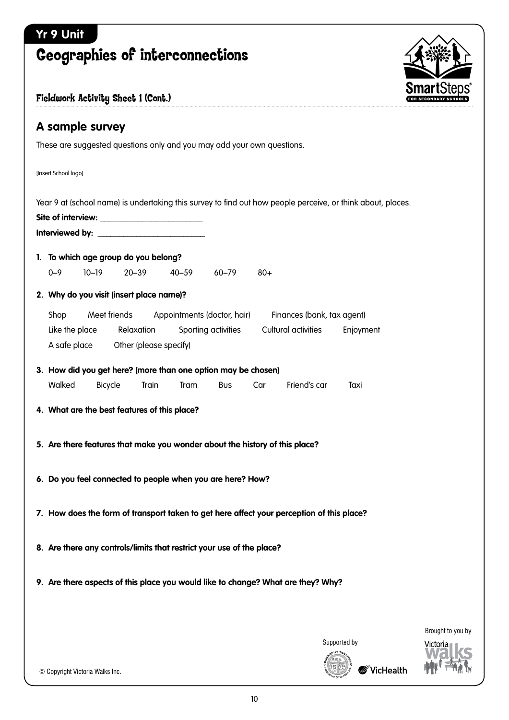# <span id="page-9-0"></span>**Yr 9 Unit** Geographies of interconnections **A sample survey** These are suggested questions only and you may add your own questions. [Insert School logo] Year 9 at (school name) is undertaking this survey to find out how people perceive, or think about, places. Site of interview: **Interviewed by: \_\_\_\_\_\_\_\_\_\_\_\_\_\_\_\_\_\_\_\_\_\_\_\_\_ 1. To which age group do you belong?** 0–9 10–19 20–39 40–59 60–79 80+ **2. Why do you visit (insert place name)?** Shop Meet friends Appointments (doctor, hair) Finances (bank, tax agent) Like the place Relaxation Sporting activities Cultural activities Enjoyment A safe place Other (please specify) Fieldwork Activity Sheet 1 (Cont.)

| 3. How did you get here? (more than one option may be chosen) |         |       |             |            |     |              |      |  |  |  |
|---------------------------------------------------------------|---------|-------|-------------|------------|-----|--------------|------|--|--|--|
| Walked                                                        | Bicvcle | Train | <b>Tram</b> | <b>Bus</b> | Car | Friend's car | Taxi |  |  |  |

- **4. What are the best features of this place?**
- **5. Are there features that make you wonder about the history of this place?**
- **6. Do you feel connected to people when you are here? How?**
- **7. How does the form of transport taken to get here affect your perception of this place?**
- **8. Are there any controls/limits that restrict your use of the place?**
- **9. Are there aspects of this place you would like to change? What are they? Why?**

Supported by

10

© Copyright Victoria Walks Inc.



Brought to you by /irtoria